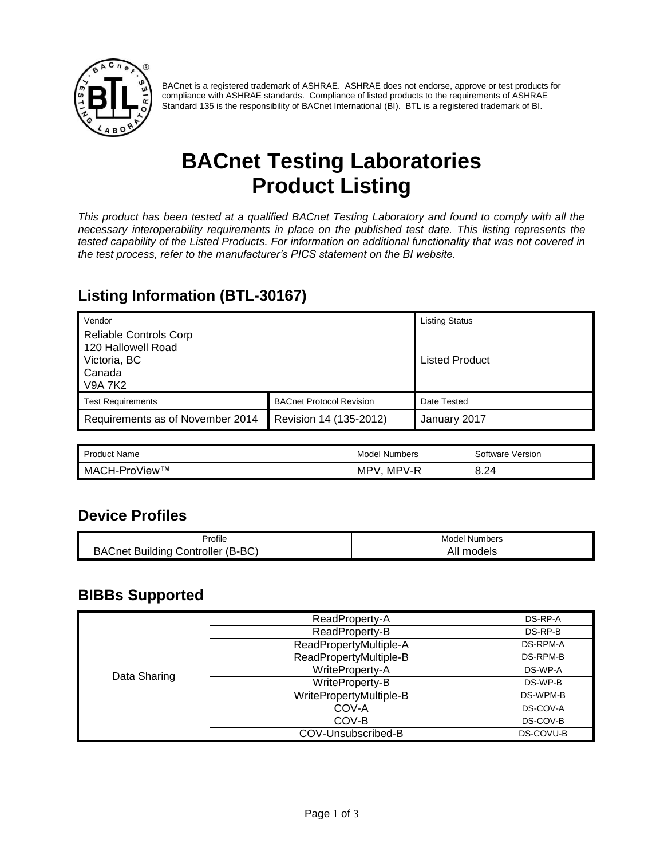

BACnet is a registered trademark of ASHRAE. ASHRAE does not endorse, approve or test products for compliance with ASHRAE standards. Compliance of listed products to the requirements of ASHRAE Standard 135 is the responsibility of BACnet International (BI). BTL is a registered trademark of BI.

# **BACnet Testing Laboratories Product Listing**

*This product has been tested at a qualified BACnet Testing Laboratory and found to comply with all the necessary interoperability requirements in place on the published test date. This listing represents the tested capability of the Listed Products. For information on additional functionality that was not covered in the test process, refer to the manufacturer's PICS statement on the BI website.*

#### **Listing Information (BTL-30167)**

| Vendor                                                                                          |                                 | <b>Listing Status</b> |
|-------------------------------------------------------------------------------------------------|---------------------------------|-----------------------|
| <b>Reliable Controls Corp</b><br>120 Hallowell Road<br>Victoria, BC<br>Canada<br><b>V9A 7K2</b> |                                 | <b>Listed Product</b> |
| <b>Test Requirements</b>                                                                        | <b>BACnet Protocol Revision</b> | Date Tested           |
| Requirements as of November 2014                                                                | Revision 14 (135-2012)          | January 2017          |

| <b>Product Name</b>   | Model<br>' Numbers | Software Version |
|-----------------------|--------------------|------------------|
| . ⊥oView™<br>MACH-Pro | MPV-R<br>MP'       | 8.24             |

#### **Device Profiles**

| $\cdots$                                                               | Model        |
|------------------------------------------------------------------------|--------------|
| Profile                                                                | ' Numbers    |
| $(B-BC)$<br><br>BAC<br>-<br>Controller<br>uildina<br>∴net<br>. .<br>∽. | models<br>AI |

#### **BIBBs Supported**

|              | ReadProperty-A          | DS-RP-A   |
|--------------|-------------------------|-----------|
|              | ReadProperty-B          | DS-RP-B   |
|              | ReadPropertyMultiple-A  | DS-RPM-A  |
|              | ReadPropertyMultiple-B  | DS-RPM-B  |
|              | WriteProperty-A         | DS-WP-A   |
| Data Sharing | WriteProperty-B         | DS-WP-B   |
|              | WritePropertyMultiple-B | DS-WPM-B  |
|              | COV-A                   | DS-COV-A  |
|              | COV-B                   | DS-COV-B  |
|              | COV-Unsubscribed-B      | DS-COVU-B |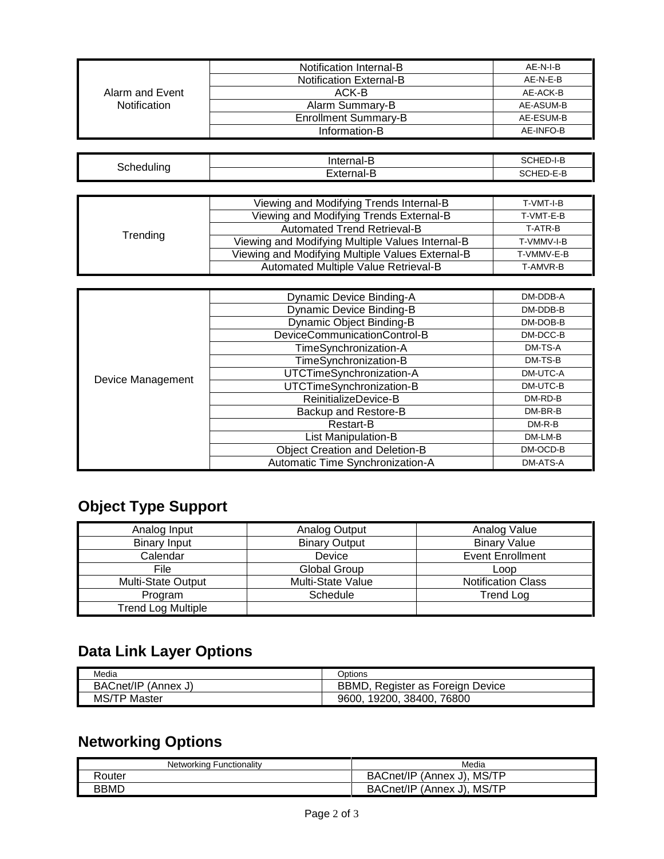|                     | Notification Internal-B        | AE-N-I-B  |
|---------------------|--------------------------------|-----------|
|                     | <b>Notification External-B</b> | AE-N-E-B  |
| Alarm and Event     | ACK-B                          | AE-ACK-B  |
| <b>Notification</b> | Alarm Summary-B                | AE-ASUM-B |
|                     | <b>Enrollment Summary-B</b>    | AE-ESUM-B |
|                     | Information-B                  | AE-INFO-B |

| Schedulina | Internal-B | SCHED-I-B        |
|------------|------------|------------------|
|            | -------    | SCHED-E-B<br>___ |

|          | Viewing and Modifying Trends Internal-B          | T-VMT-I-B  |
|----------|--------------------------------------------------|------------|
|          | Viewing and Modifying Trends External-B          | T-VMT-E-B  |
|          | Automated Trend Retrieval-B                      | T-ATR-B    |
| Trending | Viewing and Modifying Multiple Values Internal-B | T-VMMV-I-B |
|          | Viewing and Modifying Multiple Values External-B | T-VMMV-E-B |
|          | Automated Multiple Value Retrieval-B             | T-AMVR-B   |

|                   | Dynamic Device Binding-A              | DM-DDB-A |
|-------------------|---------------------------------------|----------|
|                   | <b>Dynamic Device Binding-B</b>       | DM-DDB-B |
|                   | <b>Dynamic Object Binding-B</b>       | DM-DOB-B |
|                   | DeviceCommunicationControl-B          | DM-DCC-B |
|                   | TimeSynchronization-A                 | DM-TS-A  |
| Device Management | TimeSynchronization-B                 | DM-TS-B  |
|                   | UTCTimeSynchronization-A              | DM-UTC-A |
|                   | UTCTimeSynchronization-B              | DM-UTC-B |
|                   | ReinitializeDevice-B                  | DM-RD-B  |
|                   | Backup and Restore-B                  | DM-BR-B  |
|                   | Restart-B                             | $DM-R-B$ |
|                   | List Manipulation-B                   | DM-LM-B  |
|                   | <b>Object Creation and Deletion-B</b> | DM-OCD-B |
|                   | Automatic Time Synchronization-A      | DM-ATS-A |

### **Object Type Support**

| Analog Input              | Analog Output        | Analog Value              |
|---------------------------|----------------------|---------------------------|
| <b>Binary Input</b>       | <b>Binary Output</b> | <b>Binary Value</b>       |
| Calendar                  | Device               | <b>Event Enrollment</b>   |
| File                      | <b>Global Group</b>  | Loop                      |
| <b>Multi-State Output</b> | Multi-State Value    | <b>Notification Class</b> |
| Program                   | Schedule             | <b>Trend Log</b>          |
| <b>Trend Log Multiple</b> |                      |                           |

### **Data Link Layer Options**

| Media               | Options                               |
|---------------------|---------------------------------------|
| BACnet/IP (Annex J) | BBMD.<br>, Register as Foreign Device |
| <b>MS/TP Master</b> | 19200, 38400, 76800<br>9600.          |

### **Networking Options**

| Networking Functionality | Media                      |
|--------------------------|----------------------------|
| Router                   | BACnet/IP (Annex J), MS/TP |
| <b>BBMD</b>              | BACnet/IP (Annex J), MS/TP |